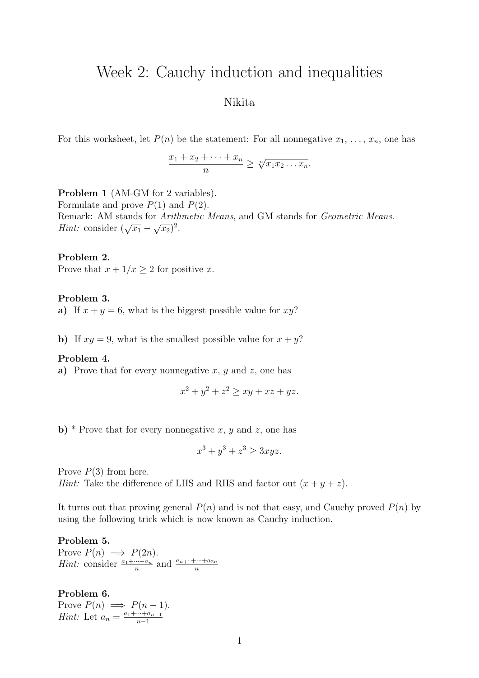# Week 2: Cauchy induction and inequalities

# Nikita

For this worksheet, let  $P(n)$  be the statement: For all nonnegative  $x_1, \ldots, x_n$ , one has

$$
\frac{x_1 + x_2 + \dots + x_n}{n} \ge \sqrt[n]{x_1 x_2 \dots x_n}.
$$

Problem 1 (AM-GM for 2 variables).

Formulate and prove  $P(1)$  and  $P(2)$ . Remark: AM stands for Arithmetic Means, and GM stands for Geometric Means. Hint: consider  $(\sqrt{x_1} - \sqrt{x_2})^2$ .

#### Problem 2.

Prove that  $x + 1/x \geq 2$  for positive x.

#### Problem 3.

a) If  $x + y = 6$ , what is the biggest possible value for  $xy$ ?

b) If  $xy = 9$ , what is the smallest possible value for  $x + y$ ?

#### Problem 4.

a) Prove that for every nonnegative  $x, y$  and  $z$ , one has

$$
x^2 + y^2 + z^2 \ge xy + xz + yz.
$$

**b**) \* Prove that for every nonnegative x, y and z, one has

$$
x^3 + y^3 + z^3 \ge 3xyz.
$$

Prove  $P(3)$  from here.

*Hint:* Take the difference of LHS and RHS and factor out  $(x + y + z)$ .

It turns out that proving general  $P(n)$  and is not that easy, and Cauchy proved  $P(n)$  by using the following trick which is now known as Cauchy induction.

# Problem 5. Prove  $P(n) \implies P(2n)$ . *Hint*: consider  $\frac{a_1 + \cdots + a_n}{n}$  and  $\frac{a_{n+1} + \cdots + a_{2n}}{n}$

Problem 6. Prove  $P(n) \implies P(n-1)$ . *Hint*: Let  $a_n = \frac{a_1 + \dots + a_{n-1}}{n-1}$  $n-1$